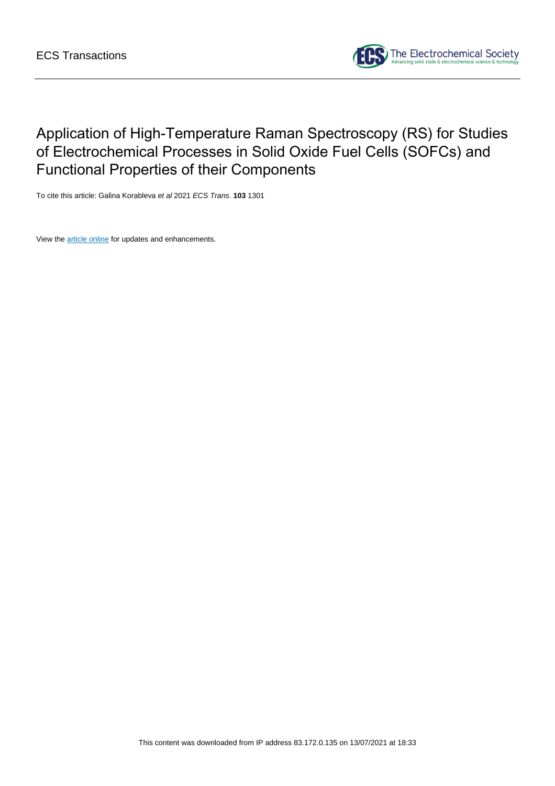

# Application of High-Temperature Raman Spectroscopy (RS) for Studies of Electrochemical Processes in Solid Oxide Fuel Cells (SOFCs) and Functional Properties of their Components

To cite this article: Galina Korableva et al 2021 ECS Trans. **103** 1301

View the [article online](https://doi.org/10.1149/10301.1301ecst) for updates and enhancements.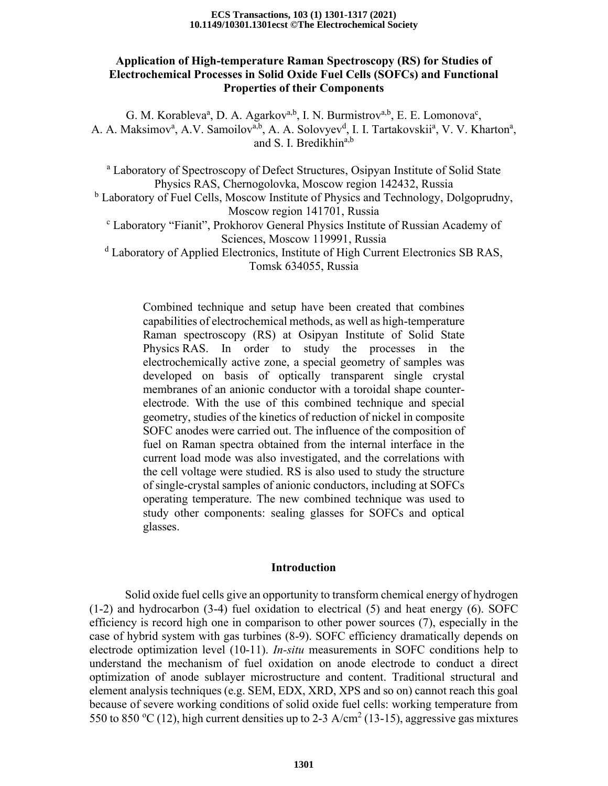#### **10.1149/10301.1301ecst ©The Electrochemical Society ECS Transactions, 103 (1) 1301-1317 (2021)**

## **Application of High-temperature Raman Spectroscopy (RS) for Studies of Electrochemical Processes in Solid Oxide Fuel Cells (SOFCs) and Functional Properties of their Components**

G. M. Korableva<sup>a</sup>, D. A. Agarkov<sup>a,b</sup>, I. N. Burmistrov<sup>a,b</sup>, E. E. Lomonova<sup>c</sup>, A. A. Maksimov<sup>a</sup>, A.V. Samoilov<sup>a,b</sup>, A. A. Solovyev<sup>d</sup>, I. I. Tartakovskii<sup>a</sup>, V. V. Kharton<sup>a</sup>, and S. I. Bredikhin<sup>a,b</sup>

<sup>a</sup> Laboratory of Spectroscopy of Defect Structures, Osipyan Institute of Solid State Physics RAS, Chernogolovka, Moscow region 142432, Russia

<sup>b</sup> Laboratory of Fuel Cells, Moscow Institute of Physics and Technology, Dolgoprudny, Moscow region 141701, Russia

<sup>c</sup> Laboratory "Fianit", Prokhorov General Physics Institute of Russian Academy of Sciences, Moscow 119991, Russia

<sup>d</sup> Laboratory of Applied Electronics, Institute of High Current Electronics SB RAS, Tomsk 634055, Russia

Combined technique and setup have been created that combines capabilities of electrochemical methods, as well as high-temperature Raman spectroscopy (RS) at Osipyan Institute of Solid State Physics RAS. In order to study the processes in the electrochemically active zone, a special geometry of samples was developed on basis of optically transparent single crystal membranes of an anionic conductor with a toroidal shape counterelectrode. With the use of this combined technique and special geometry, studies of the kinetics of reduction of nickel in composite SOFC anodes were carried out. The influence of the composition of fuel on Raman spectra obtained from the internal interface in the current load mode was also investigated, and the correlations with the cell voltage were studied. RS is also used to study the structure of single-crystal samples of anionic conductors, including at SOFCs operating temperature. The new combined technique was used to study other components: sealing glasses for SOFCs and optical glasses.

## **Introduction**

Solid oxide fuel cells give an opportunity to transform chemical energy of hydrogen (1-2) and hydrocarbon (3-4) fuel oxidation to electrical (5) and heat energy (6). SOFC efficiency is record high one in comparison to other power sources (7), especially in the case of hybrid system with gas turbines (8-9). SOFC efficiency dramatically depends on electrode optimization level (10-11). *In-situ* measurements in SOFC conditions help to understand the mechanism of fuel oxidation on anode electrode to conduct a direct optimization of anode sublayer microstructure and content. Traditional structural and element analysis techniques (e.g. SEM, EDX, XRD, XPS and so on) cannot reach this goal because of severe working conditions of solid oxide fuel cells: working temperature from 550 to 850 °C (12), high current densities up to 2-3 A/cm<sup>2</sup> (13-15), aggressive gas mixtures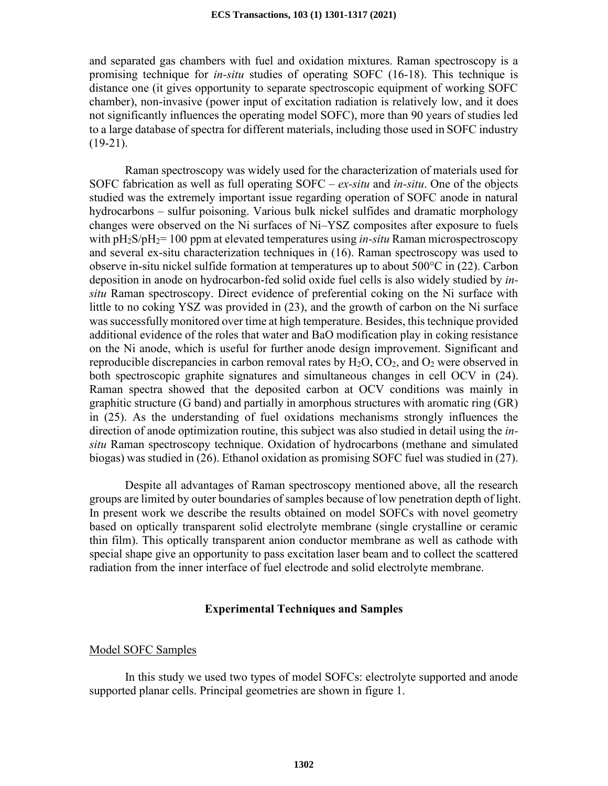and separated gas chambers with fuel and oxidation mixtures. Raman spectroscopy is a promising technique for *in-situ* studies of operating SOFC (16-18). This technique is distance one (it gives opportunity to separate spectroscopic equipment of working SOFC chamber), non-invasive (power input of excitation radiation is relatively low, and it does not significantly influences the operating model SOFC), more than 90 years of studies led to a large database of spectra for different materials, including those used in SOFC industry  $(19-21)$ .

Raman spectroscopy was widely used for the characterization of materials used for SOFC fabrication as well as full operating SOFC – *ex-situ* and *in-situ*. One of the objects studied was the extremely important issue regarding operation of SOFC anode in natural hydrocarbons – sulfur poisoning. Various bulk nickel sulfides and dramatic morphology changes were observed on the Ni surfaces of Ni–YSZ composites after exposure to fuels with pH<sub>2</sub>S/pH<sub>2</sub>= 100 ppm at elevated temperatures using *in-situ* Raman microspectroscopy and several ex-situ characterization techniques in (16). Raman spectroscopy was used to observe in-situ nickel sulfide formation at temperatures up to about 500°C in (22). Carbon deposition in anode on hydrocarbon-fed solid oxide fuel cells is also widely studied by *insitu* Raman spectroscopy. Direct evidence of preferential coking on the Ni surface with little to no coking YSZ was provided in (23), and the growth of carbon on the Ni surface was successfully monitored over time at high temperature. Besides, this technique provided additional evidence of the roles that water and BaO modification play in coking resistance on the Ni anode, which is useful for further anode design improvement. Significant and reproducible discrepancies in carbon removal rates by  $H_2O$ ,  $CO_2$ , and  $O_2$  were observed in both spectroscopic graphite signatures and simultaneous changes in cell OCV in (24). Raman spectra showed that the deposited carbon at OCV conditions was mainly in graphitic structure (G band) and partially in amorphous structures with aromatic ring (GR) in (25). As the understanding of fuel oxidations mechanisms strongly influences the direction of anode optimization routine, this subject was also studied in detail using the *insitu* Raman spectroscopy technique. Oxidation of hydrocarbons (methane and simulated biogas) was studied in (26). Ethanol oxidation as promising SOFC fuel was studied in (27).

Despite all advantages of Raman spectroscopy mentioned above, all the research groups are limited by outer boundaries of samples because of low penetration depth of light. In present work we describe the results obtained on model SOFCs with novel geometry based on optically transparent solid electrolyte membrane (single crystalline or ceramic thin film). This optically transparent anion conductor membrane as well as cathode with special shape give an opportunity to pass excitation laser beam and to collect the scattered radiation from the inner interface of fuel electrode and solid electrolyte membrane.

## **Experimental Techniques and Samples**

## Model SOFC Samples

In this study we used two types of model SOFCs: electrolyte supported and anode supported planar cells. Principal geometries are shown in figure 1.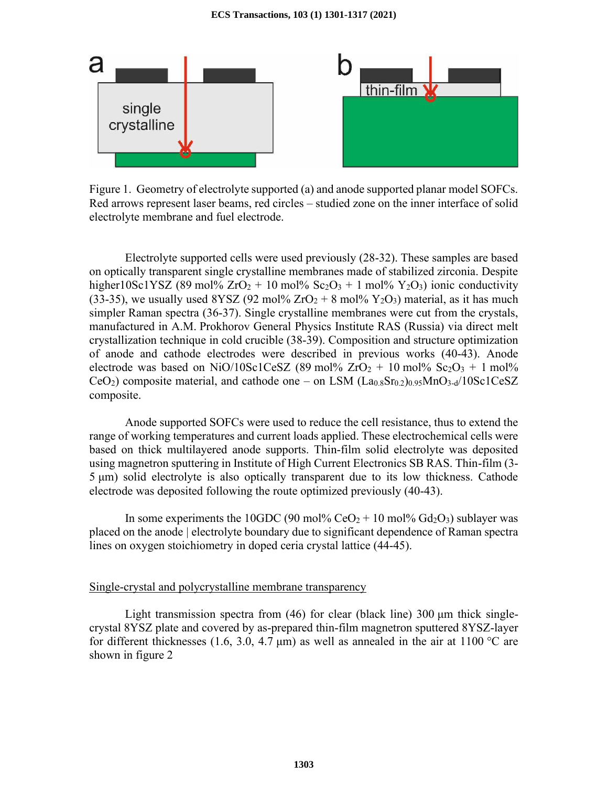

Figure 1. Geometry of electrolyte supported (a) and anode supported planar model SOFCs. Red arrows represent laser beams, red circles – studied zone on the inner interface of solid electrolyte membrane and fuel electrode.

Electrolyte supported cells were used previously (28-32). These samples are based on optically transparent single crystalline membranes made of stabilized zirconia. Despite higher10Sc1YSZ (89 mol%  $ZrO_2 + 10$  mol%  $Sc_2O_3 + 1$  mol%  $Y_2O_3$ ) ionic conductivity (33-35), we usually used  $8YSZ$  (92 mol%  $ZrO<sub>2</sub> + 8$  mol%  $Y<sub>2</sub>O<sub>3</sub>$ ) material, as it has much simpler Raman spectra (36-37). Single crystalline membranes were cut from the crystals, manufactured in A.M. Prokhorov General Physics Institute RAS (Russia) via direct melt crystallization technique in cold crucible (38-39). Composition and structure optimization of anode and cathode electrodes were described in previous works (40-43). Anode electrode was based on NiO/10Sc1CeSZ (89 mol%  $ZrO<sub>2</sub> + 10$  mol%  $Sc<sub>2</sub>O<sub>3</sub> + 1$  mol% CeO<sub>2</sub>) composite material, and cathode one – on LSM  $(La<sub>0.8</sub>Sr<sub>0.2</sub>)<sub>0.95</sub>MnO<sub>3-d</sub>/10Sc1CeSZ$ composite.

Anode supported SOFCs were used to reduce the cell resistance, thus to extend the range of working temperatures and current loads applied. These electrochemical cells were based on thick multilayered anode supports. Thin-film solid electrolyte was deposited using magnetron sputtering in Institute of High Current Electronics SB RAS. Thin-film (3- 5 μm) solid electrolyte is also optically transparent due to its low thickness. Cathode electrode was deposited following the route optimized previously (40-43).

In some experiments the 10GDC (90 mol%  $CeO<sub>2</sub> + 10$  mol%  $Gd<sub>2</sub>O<sub>3</sub>$ ) sublayer was placed on the anode | electrolyte boundary due to significant dependence of Raman spectra lines on oxygen stoichiometry in doped ceria crystal lattice (44-45).

## Single-crystal and polycrystalline membrane transparency

Light transmission spectra from (46) for clear (black line)  $300 \mu m$  thick singlecrystal 8YSZ plate and covered by as-prepared thin-film magnetron sputtered 8YSZ-layer for different thicknesses (1.6, 3.0, 4.7  $\mu$ m) as well as annealed in the air at 1100 °C are shown in figure 2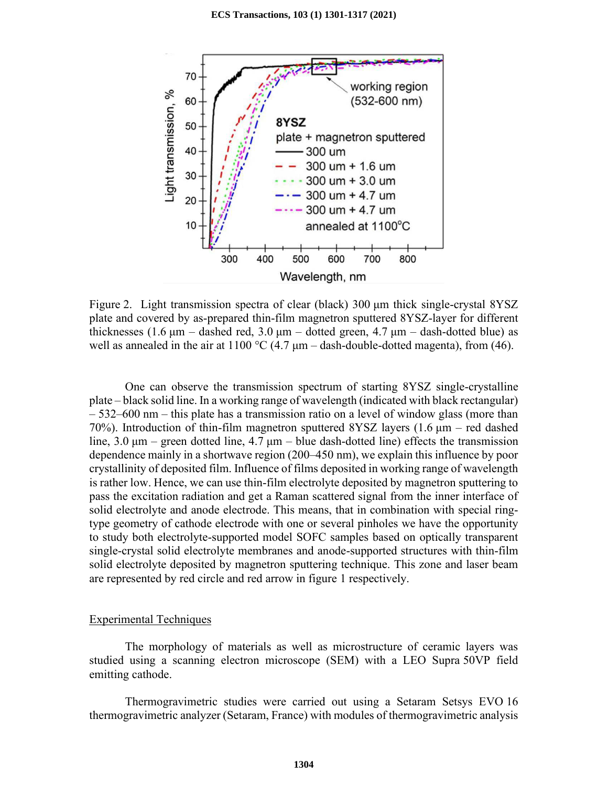

Figure 2. Light transmission spectra of clear (black) 300 μm thick single-crystal 8YSZ plate and covered by as-prepared thin-film magnetron sputtered 8YSZ-layer for different thicknesses (1.6  $\mu$ m – dashed red, 3.0  $\mu$ m – dotted green, 4.7  $\mu$ m – dash-dotted blue) as well as annealed in the air at 1100 °C (4.7  $\mu$ m – dash-double-dotted magenta), from (46).

One can observe the transmission spectrum of starting 8YSZ single-crystalline plate – black solid line. In a working range of wavelength (indicated with black rectangular) – 532–600 nm – this plate has a transmission ratio on a level of window glass (more than 70%). Introduction of thin-film magnetron sputtered 8YSZ layers (1.6 μm – red dashed line,  $3.0 \mu m$  – green dotted line,  $4.7 \mu m$  – blue dash-dotted line) effects the transmission dependence mainly in a shortwave region (200–450 nm), we explain this influence by poor crystallinity of deposited film. Influence of films deposited in working range of wavelength is rather low. Hence, we can use thin-film electrolyte deposited by magnetron sputtering to pass the excitation radiation and get a Raman scattered signal from the inner interface of solid electrolyte and anode electrode. This means, that in combination with special ringtype geometry of cathode electrode with one or several pinholes we have the opportunity to study both electrolyte-supported model SOFC samples based on optically transparent single-crystal solid electrolyte membranes and anode-supported structures with thin-film solid electrolyte deposited by magnetron sputtering technique. This zone and laser beam are represented by red circle and red arrow in figure 1 respectively.

#### Experimental Techniques

The morphology of materials as well as microstructure of ceramic layers was studied using a scanning electron microscope (SEM) with a LEO Supra 50VP field emitting cathode.

Thermogravimetric studies were carried out using a Setaram Setsys EVO 16 thermogravimetric analyzer (Setaram, France) with modules of thermogravimetric analysis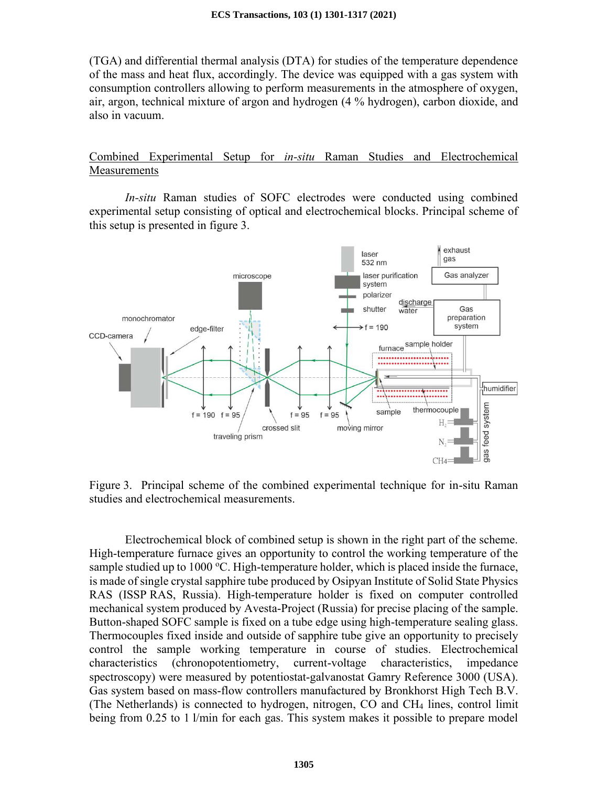(TGA) and differential thermal analysis (DTA) for studies of the temperature dependence of the mass and heat flux, accordingly. The device was equipped with a gas system with consumption controllers allowing to perform measurements in the atmosphere of oxygen, air, argon, technical mixture of argon and hydrogen (4 % hydrogen), carbon dioxide, and also in vacuum.

## Combined Experimental Setup for *in-situ* Raman Studies and Electrochemical Measurements

*In-situ* Raman studies of SOFC electrodes were conducted using combined experimental setup consisting of optical and electrochemical blocks. Principal scheme of this setup is presented in figure 3.



Figure 3. Principal scheme of the combined experimental technique for in-situ Raman studies and electrochemical measurements.

Electrochemical block of combined setup is shown in the right part of the scheme. High-temperature furnace gives an opportunity to control the working temperature of the sample studied up to  $1000 \degree C$ . High-temperature holder, which is placed inside the furnace, is made of single crystal sapphire tube produced by Osipyan Institute of Solid State Physics RAS (ISSP RAS, Russia). High-temperature holder is fixed on computer controlled mechanical system produced by Avesta-Project (Russia) for precise placing of the sample. Button-shaped SOFC sample is fixed on a tube edge using high-temperature sealing glass. Thermocouples fixed inside and outside of sapphire tube give an opportunity to precisely control the sample working temperature in course of studies. Electrochemical characteristics (chronopotentiometry, current-voltage characteristics, impedance spectroscopy) were measured by potentiostat-galvanostat Gamry Reference 3000 (USA). Gas system based on mass-flow controllers manufactured by Bronkhorst High Tech B.V. (The Netherlands) is connected to hydrogen, nitrogen, CO and CH4 lines, control limit being from 0.25 to 1 l/min for each gas. This system makes it possible to prepare model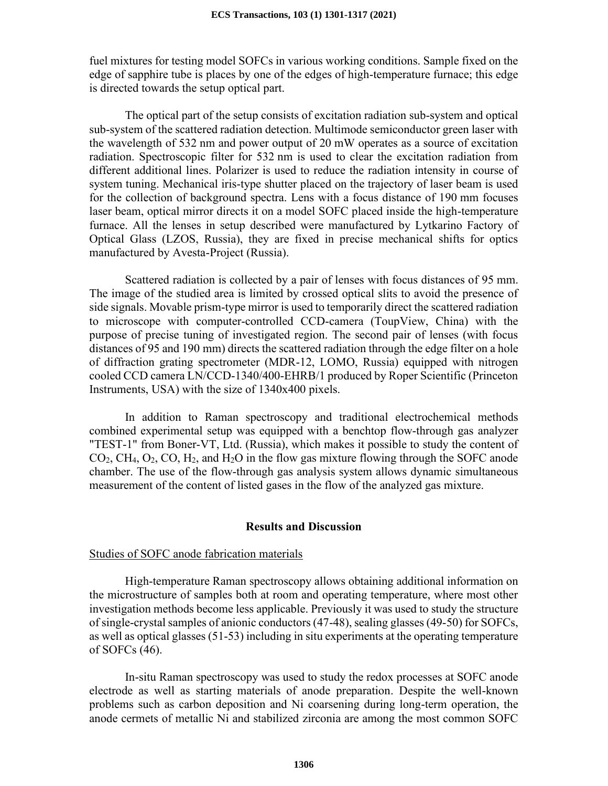fuel mixtures for testing model SOFCs in various working conditions. Sample fixed on the edge of sapphire tube is places by one of the edges of high-temperature furnace; this edge is directed towards the setup optical part.

The optical part of the setup consists of excitation radiation sub-system and optical sub-system of the scattered radiation detection. Multimode semiconductor green laser with the wavelength of 532 nm and power output of 20 mW operates as a source of excitation radiation. Spectroscopic filter for 532 nm is used to clear the excitation radiation from different additional lines. Polarizer is used to reduce the radiation intensity in course of system tuning. Mechanical iris-type shutter placed on the trajectory of laser beam is used for the collection of background spectra. Lens with a focus distance of 190 mm focuses laser beam, optical mirror directs it on a model SOFC placed inside the high-temperature furnace. All the lenses in setup described were manufactured by Lytkarino Factory of Optical Glass (LZOS, Russia), they are fixed in precise mechanical shifts for optics manufactured by Avesta-Project (Russia).

Scattered radiation is collected by a pair of lenses with focus distances of 95 mm. The image of the studied area is limited by crossed optical slits to avoid the presence of side signals. Movable prism-type mirror is used to temporarily direct the scattered radiation to microscope with computer-controlled CCD-camera (ToupView, China) with the purpose of precise tuning of investigated region. The second pair of lenses (with focus distances of 95 and 190 mm) directs the scattered radiation through the edge filter on a hole of diffraction grating spectrometer (MDR-12, LOMO, Russia) equipped with nitrogen cooled CCD camera LN/CCD-1340/400-EHRB/1 produced by Roper Scientific (Princeton Instruments, USA) with the size of 1340x400 pixels.

In addition to Raman spectroscopy and traditional electrochemical methods combined experimental setup was equipped with a benchtop flow-through gas analyzer "TEST-1" from Boner-VT, Ltd. (Russia), which makes it possible to study the content of  $CO<sub>2</sub>, CH<sub>4</sub>, O<sub>2</sub>, CO, H<sub>2</sub>, and H<sub>2</sub>O in the flow gas mixture flowing through the SOFC anode$ chamber. The use of the flow-through gas analysis system allows dynamic simultaneous measurement of the content of listed gases in the flow of the analyzed gas mixture.

### **Results and Discussion**

#### Studies of SOFC anode fabrication materials

High-temperature Raman spectroscopy allows obtaining additional information on the microstructure of samples both at room and operating temperature, where most other investigation methods become less applicable. Previously it was used to study the structure of single-crystal samples of anionic conductors (47-48), sealing glasses (49-50) for SOFCs, as well as optical glasses (51-53) including in situ experiments at the operating temperature of SOFCs (46).

In-situ Raman spectroscopy was used to study the redox processes at SOFC anode electrode as well as starting materials of anode preparation. Despite the well-known problems such as carbon deposition and Ni coarsening during long-term operation, the anode cermets of metallic Ni and stabilized zirconia are among the most common SOFC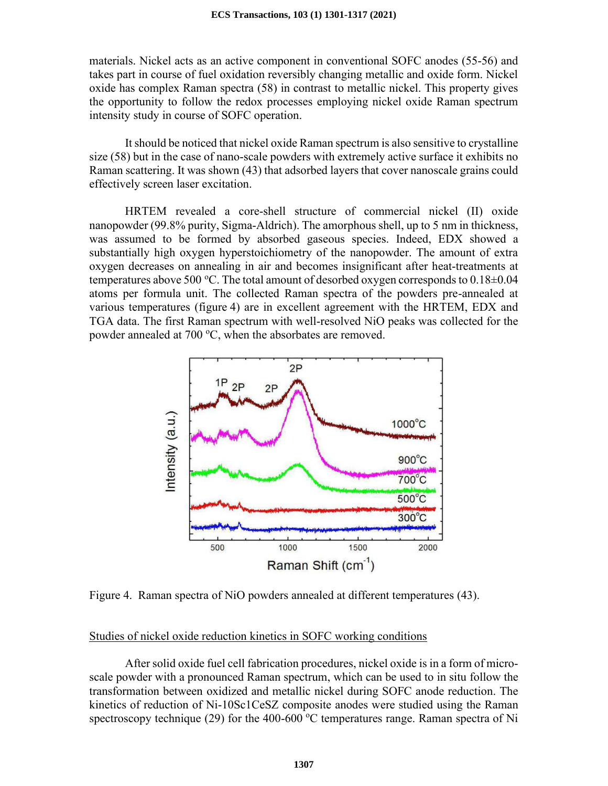materials. Nickel acts as an active component in conventional SOFC anodes (55-56) and takes part in course of fuel oxidation reversibly changing metallic and oxide form. Nickel oxide has complex Raman spectra (58) in contrast to metallic nickel. This property gives the opportunity to follow the redox processes employing nickel oxide Raman spectrum intensity study in course of SOFC operation.

It should be noticed that nickel oxide Raman spectrum is also sensitive to crystalline size (58) but in the case of nano-scale powders with extremely active surface it exhibits no Raman scattering. It was shown (43) that adsorbed layers that cover nanoscale grains could effectively screen laser excitation.

HRTEM revealed a core-shell structure of commercial nickel (II) oxide nanopowder (99.8% purity, Sigma-Aldrich). The amorphous shell, up to 5 nm in thickness, was assumed to be formed by absorbed gaseous species. Indeed, EDX showed a substantially high oxygen hyperstoichiometry of the nanopowder. The amount of extra oxygen decreases on annealing in air and becomes insignificant after heat-treatments at temperatures above 500 °C. The total amount of desorbed oxygen corresponds to  $0.18\pm0.04$ atoms per formula unit. The collected Raman spectra of the powders pre-annealed at various temperatures (figure 4) are in excellent agreement with the HRTEM, EDX and TGA data. The first Raman spectrum with well-resolved NiO peaks was collected for the powder annealed at 700 °C, when the absorbates are removed.



Figure 4. Raman spectra of NiO powders annealed at different temperatures (43).

## Studies of nickel oxide reduction kinetics in SOFC working conditions

After solid oxide fuel cell fabrication procedures, nickel oxide is in a form of microscale powder with a pronounced Raman spectrum, which can be used to in situ follow the transformation between oxidized and metallic nickel during SOFC anode reduction. The kinetics of reduction of Ni-10Sc1CeSZ composite anodes were studied using the Raman spectroscopy technique (29) for the 400-600  $^{\circ}$ C temperatures range. Raman spectra of Ni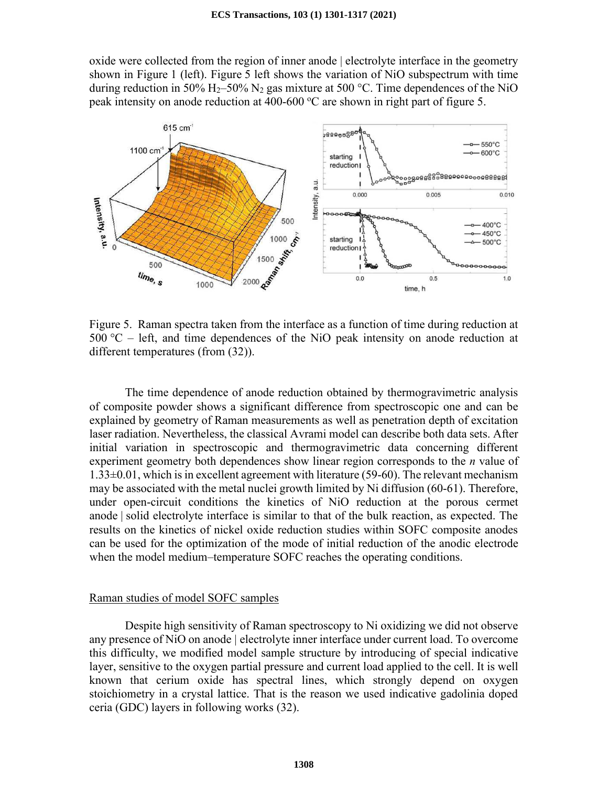oxide were collected from the region of inner anode | electrolyte interface in the geometry shown in Figure 1 (left). Figure 5 left shows the variation of NiO subspectrum with time during reduction in 50% H<sub>2</sub>–50% N<sub>2</sub> gas mixture at 500 °C. Time dependences of the NiO peak intensity on anode reduction at 400-600  $^{\circ}$ C are shown in right part of figure 5.



Figure 5. Raman spectra taken from the interface as a function of time during reduction at  $500 \text{ °C}$  – left, and time dependences of the NiO peak intensity on anode reduction at different temperatures (from (32)).

The time dependence of anode reduction obtained by thermogravimetric analysis of composite powder shows a significant difference from spectroscopic one and can be explained by geometry of Raman measurements as well as penetration depth of excitation laser radiation. Nevertheless, the classical Avrami model can describe both data sets. After initial variation in spectroscopic and thermogravimetric data concerning different experiment geometry both dependences show linear region corresponds to the *n* value of 1.33±0.01, which is in excellent agreement with literature (59-60). The relevant mechanism may be associated with the metal nuclei growth limited by Ni diffusion (60-61). Therefore, under open-circuit conditions the kinetics of NiO reduction at the porous cermet anode | solid electrolyte interface is similar to that of the bulk reaction, as expected. The results on the kinetics of nickel oxide reduction studies within SOFC composite anodes can be used for the optimization of the mode of initial reduction of the anodic electrode when the model medium–temperature SOFC reaches the operating conditions.

#### Raman studies of model SOFC samples

Despite high sensitivity of Raman spectroscopy to Ni oxidizing we did not observe any presence of NiO on anode | electrolyte inner interface under current load. To overcome this difficulty, we modified model sample structure by introducing of special indicative layer, sensitive to the oxygen partial pressure and current load applied to the cell. It is well known that cerium oxide has spectral lines, which strongly depend on oxygen stoichiometry in a crystal lattice. That is the reason we used indicative gadolinia doped ceria (GDC) layers in following works (32).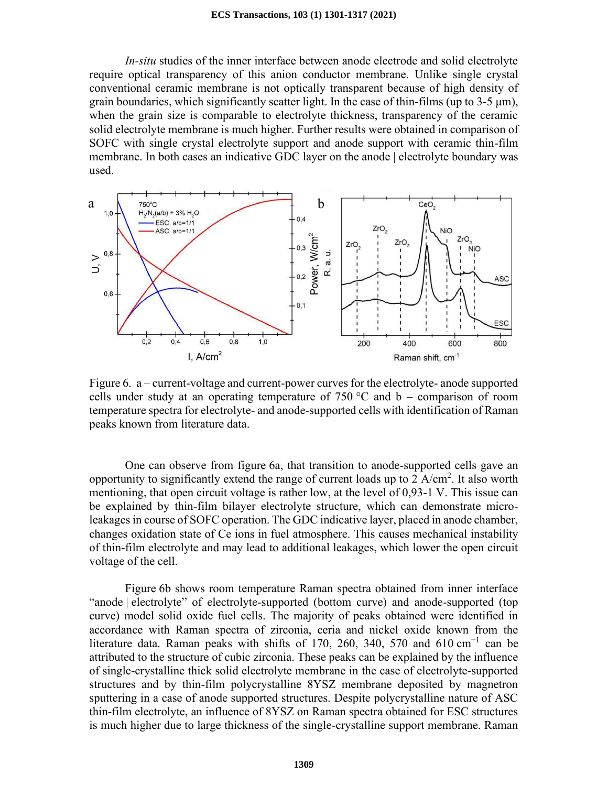*In-situ* studies of the inner interface between anode electrode and solid electrolyte require optical transparency of this anion conductor membrane. Unlike single crystal conventional ceramic membrane is not optically transparent because of high density of grain boundaries, which significantly scatter light. In the case of thin-films (up to  $3-5 \mu m$ ), when the grain size is comparable to electrolyte thickness, transparency of the ceramic solid electrolyte membrane is much higher. Further results were obtained in comparison of SOFC with single crystal electrolyte support and anode support with ceramic thin-film membrane. In both cases an indicative GDC layer on the anode | electrolyte boundary was used.



Figure 6. a – current-voltage and current-power curves for the electrolyte- anode supported cells under study at an operating temperature of 750  $\degree$ C and b – comparison of room temperature spectra for electrolyte- and anode-supported cells with identification of Raman peaks known from literature data.

One can observe from figure 6a, that transition to anode-supported cells gave an opportunity to significantly extend the range of current loads up to  $2 \text{ A/cm}^2$ . It also worth mentioning, that open circuit voltage is rather low, at the level of 0,93-1 V. This issue can be explained by thin-film bilayer electrolyte structure, which can demonstrate microleakages in course of SOFC operation. The GDC indicative layer, placed in anode chamber, changes oxidation state of Ce ions in fuel atmosphere. This causes mechanical instability of thin-film electrolyte and may lead to additional leakages, which lower the open circuit voltage of the cell.

Figure 6b shows room temperature Raman spectra obtained from inner interface "anode | electrolyte" of electrolyte-supported (bottom curve) and anode-supported (top curve) model solid oxide fuel cells. The majority of peaks obtained were identified in accordance with Raman spectra of zirconia, ceria and nickel oxide known from the literature data. Raman peaks with shifts of 170, 260, 340, 570 and 610 cm<sup>-1</sup> can be attributed to the structure of cubic zirconia. These peaks can be explained by the influence of single-crystalline thick solid electrolyte membrane in the case of electrolyte-supported structures and by thin-film polycrystalline 8YSZ membrane deposited by magnetron sputtering in a case of anode supported structures. Despite polycrystalline nature of ASC thin-film electrolyte, an influence of 8YSZ on Raman spectra obtained for ESC structures is much higher due to large thickness of the single-crystalline support membrane. Raman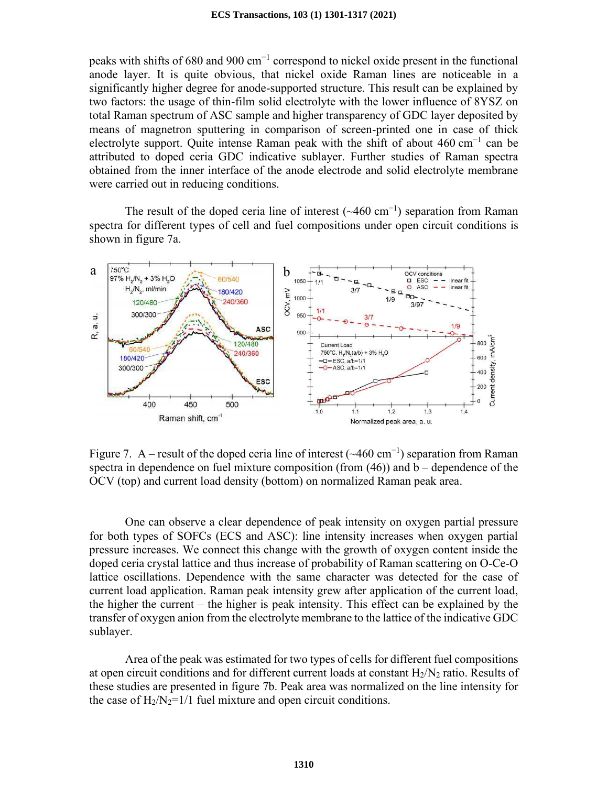peaks with shifts of 680 and 900 cm<sup>-1</sup> correspond to nickel oxide present in the functional anode layer. It is quite obvious, that nickel oxide Raman lines are noticeable in a significantly higher degree for anode-supported structure. This result can be explained by two factors: the usage of thin-film solid electrolyte with the lower influence of 8YSZ on total Raman spectrum of ASC sample and higher transparency of GDC layer deposited by means of magnetron sputtering in comparison of screen-printed one in case of thick electrolyte support. Quite intense Raman peak with the shift of about 460 cm<sup>-1</sup> can be attributed to doped ceria GDC indicative sublayer. Further studies of Raman spectra obtained from the inner interface of the anode electrode and solid electrolyte membrane were carried out in reducing conditions.

The result of the doped ceria line of interest  $(\sim460 \text{ cm}^{-1})$  separation from Raman spectra for different types of cell and fuel compositions under open circuit conditions is shown in figure 7a.



Figure 7. A – result of the doped ceria line of interest ( $\sim$ 460 cm<sup>-1</sup>) separation from Raman spectra in dependence on fuel mixture composition (from (46)) and b – dependence of the OCV (top) and current load density (bottom) on normalized Raman peak area.

One can observe a clear dependence of peak intensity on oxygen partial pressure for both types of SOFCs (ECS and ASC): line intensity increases when oxygen partial pressure increases. We connect this change with the growth of oxygen content inside the doped ceria crystal lattice and thus increase of probability of Raman scattering on O-Ce-O lattice oscillations. Dependence with the same character was detected for the case of current load application. Raman peak intensity grew after application of the current load, the higher the current – the higher is peak intensity. This effect can be explained by the transfer of oxygen anion from the electrolyte membrane to the lattice of the indicative GDC sublayer.

Area of the peak was estimated for two types of cells for different fuel compositions at open circuit conditions and for different current loads at constant  $H_2/N_2$  ratio. Results of these studies are presented in figure 7b. Peak area was normalized on the line intensity for the case of  $H_2/N_2=1/1$  fuel mixture and open circuit conditions.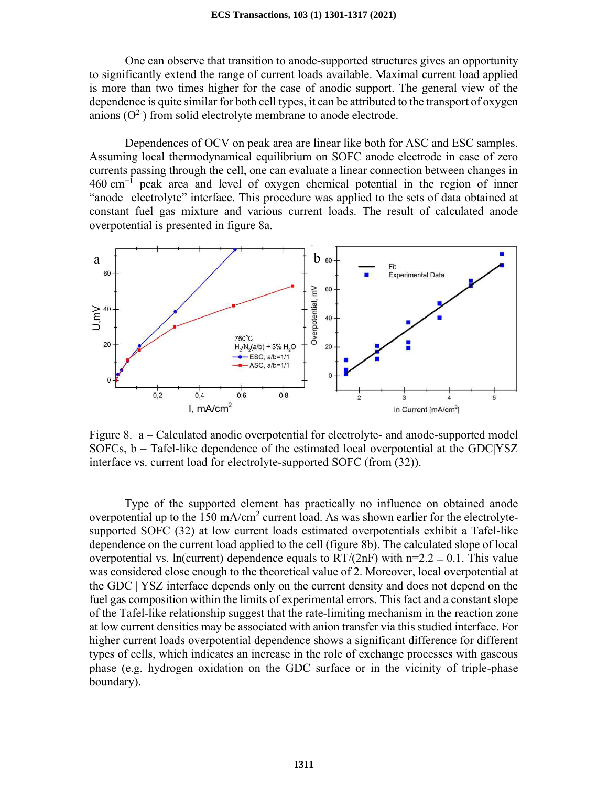One can observe that transition to anode-supported structures gives an opportunity to significantly extend the range of current loads available. Maximal current load applied is more than two times higher for the case of anodic support. The general view of the dependence is quite similar for both cell types, it can be attributed to the transport of oxygen anions  $(O^2)$  from solid electrolyte membrane to anode electrode.

Dependences of OCV on peak area are linear like both for ASC and ESC samples. Assuming local thermodynamical equilibrium on SOFC anode electrode in case of zero currents passing through the cell, one can evaluate a linear connection between changes in 460 cm<sup>−</sup><sup>1</sup> peak area and level of oxygen chemical potential in the region of inner "anode | electrolyte" interface. This procedure was applied to the sets of data obtained at constant fuel gas mixture and various current loads. The result of calculated anode overpotential is presented in figure 8a.



Figure 8. a – Calculated anodic overpotential for electrolyte- and anode-supported model SOFCs, b – Tafel-like dependence of the estimated local overpotential at the GDC|YSZ interface vs. current load for electrolyte-supported SOFC (from (32)).

Type of the supported element has practically no influence on obtained anode overpotential up to the 150 mA/cm<sup>2</sup> current load. As was shown earlier for the electrolytesupported SOFC (32) at low current loads estimated overpotentials exhibit a Tafel-like dependence on the current load applied to the cell (figure 8b). The calculated slope of local overpotential vs. ln(current) dependence equals to  $RT/(2nF)$  with  $n=2.2 \pm 0.1$ . This value was considered close enough to the theoretical value of 2. Moreover, local overpotential at the GDC | YSZ interface depends only on the current density and does not depend on the fuel gas composition within the limits of experimental errors. This fact and a constant slope of the Tafel-like relationship suggest that the rate-limiting mechanism in the reaction zone at low current densities may be associated with anion transfer via this studied interface. For higher current loads overpotential dependence shows a significant difference for different types of cells, which indicates an increase in the role of exchange processes with gaseous phase (e.g. hydrogen oxidation on the GDC surface or in the vicinity of triple-phase boundary).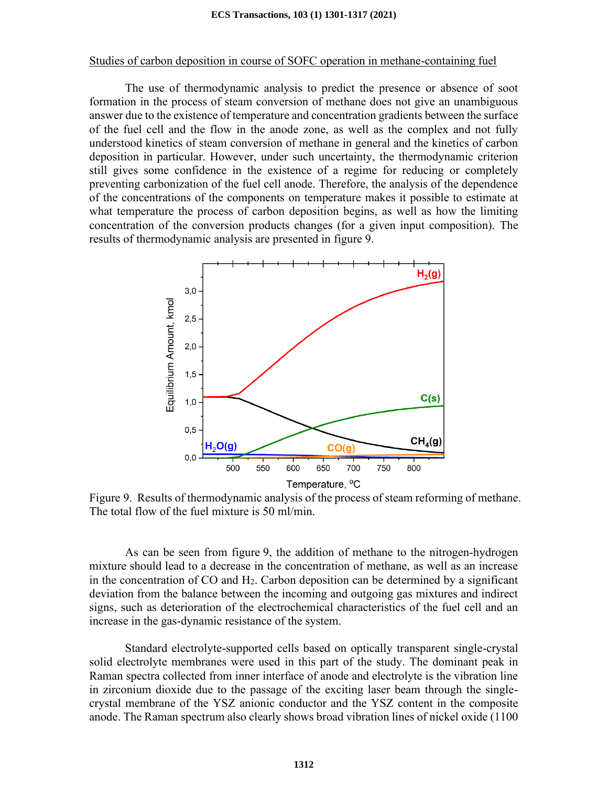#### Studies of carbon deposition in course of SOFC operation in methane-containing fuel

The use of thermodynamic analysis to predict the presence or absence of soot formation in the process of steam conversion of methane does not give an unambiguous answer due to the existence of temperature and concentration gradients between the surface of the fuel cell and the flow in the anode zone, as well as the complex and not fully understood kinetics of steam conversion of methane in general and the kinetics of carbon deposition in particular. However, under such uncertainty, the thermodynamic criterion still gives some confidence in the existence of a regime for reducing or completely preventing carbonization of the fuel cell anode. Therefore, the analysis of the dependence of the concentrations of the components on temperature makes it possible to estimate at what temperature the process of carbon deposition begins, as well as how the limiting concentration of the conversion products changes (for a given input composition). The results of thermodynamic analysis are presented in figure 9.



Figure 9. Results of thermodynamic analysis of the process of steam reforming of methane. The total flow of the fuel mixture is 50 ml/min.

As can be seen from figure 9, the addition of methane to the nitrogen-hydrogen mixture should lead to a decrease in the concentration of methane, as well as an increase in the concentration of  $CO$  and  $H<sub>2</sub>$ . Carbon deposition can be determined by a significant deviation from the balance between the incoming and outgoing gas mixtures and indirect signs, such as deterioration of the electrochemical characteristics of the fuel cell and an increase in the gas-dynamic resistance of the system.

Standard electrolyte-supported cells based on optically transparent single-crystal solid electrolyte membranes were used in this part of the study. The dominant peak in Raman spectra collected from inner interface of anode and electrolyte is the vibration line in zirconium dioxide due to the passage of the exciting laser beam through the singlecrystal membrane of the YSZ anionic conductor and the YSZ content in the composite anode. The Raman spectrum also clearly shows broad vibration lines of nickel oxide (1100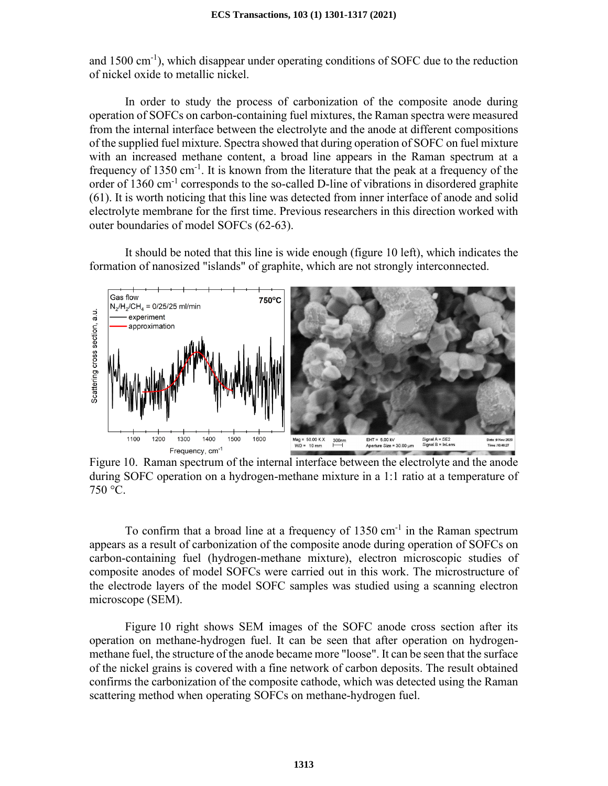and 1500 cm-1), which disappear under operating conditions of SOFC due to the reduction of nickel oxide to metallic nickel.

In order to study the process of carbonization of the composite anode during operation of SOFCs on carbon-containing fuel mixtures, the Raman spectra were measured from the internal interface between the electrolyte and the anode at different compositions of the supplied fuel mixture. Spectra showed that during operation of SOFC on fuel mixture with an increased methane content, a broad line appears in the Raman spectrum at a frequency of  $1350 \text{ cm}^{-1}$ . It is known from the literature that the peak at a frequency of the order of 1360 cm<sup>-1</sup> corresponds to the so-called D-line of vibrations in disordered graphite (61). It is worth noticing that this line was detected from inner interface of anode and solid electrolyte membrane for the first time. Previous researchers in this direction worked with outer boundaries of model SOFCs (62-63).

It should be noted that this line is wide enough (figure 10 left), which indicates the formation of nanosized "islands" of graphite, which are not strongly interconnected.



Figure 10. Raman spectrum of the internal interface between the electrolyte and the anode during SOFC operation on a hydrogen-methane mixture in a 1:1 ratio at a temperature of 750 °C.

To confirm that a broad line at a frequency of  $1350 \text{ cm}^{-1}$  in the Raman spectrum appears as a result of carbonization of the composite anode during operation of SOFCs on carbon-containing fuel (hydrogen-methane mixture), electron microscopic studies of composite anodes of model SOFCs were carried out in this work. The microstructure of the electrode layers of the model SOFC samples was studied using a scanning electron microscope (SEM).

Figure 10 right shows SEM images of the SOFC anode cross section after its operation on methane-hydrogen fuel. It can be seen that after operation on hydrogenmethane fuel, the structure of the anode became more "loose". It can be seen that the surface of the nickel grains is covered with a fine network of carbon deposits. The result obtained confirms the carbonization of the composite cathode, which was detected using the Raman scattering method when operating SOFCs on methane-hydrogen fuel.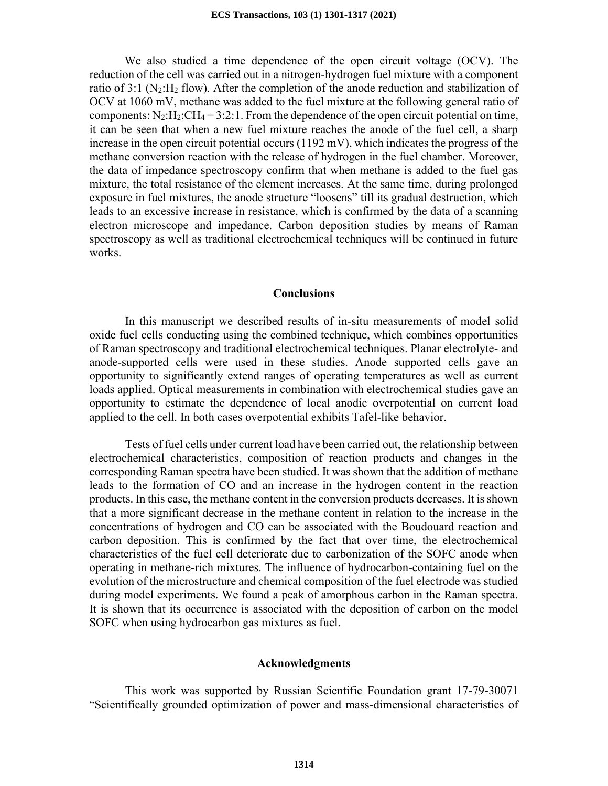We also studied a time dependence of the open circuit voltage (OCV). The reduction of the cell was carried out in a nitrogen-hydrogen fuel mixture with a component ratio of 3:1 ( $N_2$ :H<sub>2</sub> flow). After the completion of the anode reduction and stabilization of OCV at 1060 mV, methane was added to the fuel mixture at the following general ratio of components:  $N_2:H_2:CH_4 = 3:2:1$ . From the dependence of the open circuit potential on time, it can be seen that when a new fuel mixture reaches the anode of the fuel cell, a sharp increase in the open circuit potential occurs (1192 mV), which indicates the progress of the methane conversion reaction with the release of hydrogen in the fuel chamber. Moreover, the data of impedance spectroscopy confirm that when methane is added to the fuel gas mixture, the total resistance of the element increases. At the same time, during prolonged exposure in fuel mixtures, the anode structure "loosens" till its gradual destruction, which leads to an excessive increase in resistance, which is confirmed by the data of a scanning electron microscope and impedance. Carbon deposition studies by means of Raman spectroscopy as well as traditional electrochemical techniques will be continued in future works.

#### **Conclusions**

In this manuscript we described results of in-situ measurements of model solid oxide fuel cells conducting using the combined technique, which combines opportunities of Raman spectroscopy and traditional electrochemical techniques. Planar electrolyte- and anode-supported cells were used in these studies. Anode supported cells gave an opportunity to significantly extend ranges of operating temperatures as well as current loads applied. Optical measurements in combination with electrochemical studies gave an opportunity to estimate the dependence of local anodic overpotential on current load applied to the cell. In both cases overpotential exhibits Tafel-like behavior.

Tests of fuel cells under current load have been carried out, the relationship between electrochemical characteristics, composition of reaction products and changes in the corresponding Raman spectra have been studied. It was shown that the addition of methane leads to the formation of CO and an increase in the hydrogen content in the reaction products. In this case, the methane content in the conversion products decreases. It is shown that a more significant decrease in the methane content in relation to the increase in the concentrations of hydrogen and CO can be associated with the Boudouard reaction and carbon deposition. This is confirmed by the fact that over time, the electrochemical characteristics of the fuel cell deteriorate due to carbonization of the SOFC anode when operating in methane-rich mixtures. The influence of hydrocarbon-containing fuel on the evolution of the microstructure and chemical composition of the fuel electrode was studied during model experiments. We found a peak of amorphous carbon in the Raman spectra. It is shown that its occurrence is associated with the deposition of carbon on the model SOFC when using hydrocarbon gas mixtures as fuel.

#### **Acknowledgments**

This work was supported by Russian Scientific Foundation grant 17-79-30071 "Scientifically grounded optimization of power and mass-dimensional characteristics of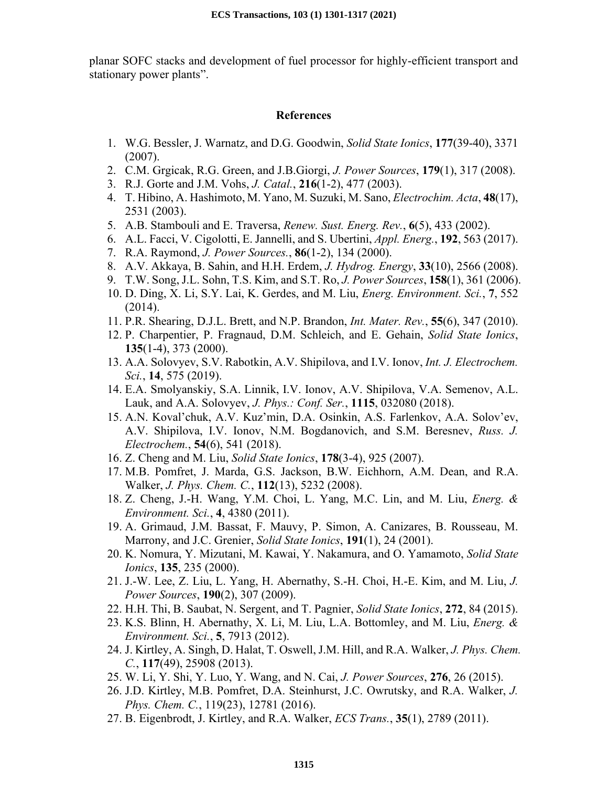planar SOFC stacks and development of fuel processor for highly-efficient transport and stationary power plants".

#### **References**

- 1. W.G. Bessler, J. Warnatz, and D.G. Goodwin, *Solid State Ionics*, **177**(39-40), 3371 (2007).
- 2. C.M. Grgicak, R.G. Green, and J.B.Giorgi, *J. Power Sources*, **179**(1), 317 (2008).
- 3. R.J. Gorte and J.M. Vohs, *J. Catal.*, **216**(1-2), 477 (2003).
- 4. T. Hibino, A. Hashimoto, M. Yano, M. Suzuki, M. Sano, *Electrochim. Acta*, **48**(17), 2531 (2003).
- 5. A.B. Stambouli and E. Traversa, *Renew. Sust. Energ. Rev.*, **6**(5), 433 (2002).
- 6. A.L. Facci, V. Cigolotti, E. Jannelli, and S. Ubertini, *Appl. Energ.*, **192**, 563 (2017).
- 7. R.A. Raymond, *J. Power Sources.*, **86**(1-2), 134 (2000).
- 8. A.V. Akkaya, B. Sahin, and H.H. Erdem, *J. Hydrog. Energy*, **33**(10), 2566 (2008).
- 9. T.W. Song, J.L. Sohn, T.S. Kim, and S.T. Ro, *J. Power Sources*, **158**(1), 361 (2006).
- 10. D. Ding, X. Li, S.Y. Lai, K. Gerdes, and M. Liu, *Energ. Environment. Sci.*, **7**, 552 (2014).
- 11. P.R. Shearing, D.J.L. Brett, and N.P. Brandon, *Int. Mater. Rev.*, **55**(6), 347 (2010).
- 12. P. Charpentier, P. Fragnaud, D.M. Schleich, and E. Gehain, *Solid State Ionics*, **135**(1-4), 373 (2000).
- 13. A.A. Solovyev, S.V. Rabotkin, A.V. Shipilova, and I.V. Ionov, *Int. J. Electrochem. Sci.*, **14**, 575 (2019).
- 14. E.A. Smolyanskiy, S.A. Linnik, I.V. Ionov, A.V. Shipilova, V.A. Semenov, A.L. Lauk, and A.A. Solovyev, *J. Phys.: Conf. Ser.*, **1115**, 032080 (2018).
- 15. A.N. Koval'chuk, A.V. Kuz'min, D.A. Osinkin, A.S. Farlenkov, A.A. Solov'ev, A.V. Shipilova, I.V. Ionov, N.M. Bogdanovich, and S.M. Beresnev, *Russ. J. Electrochem.*, **54**(6), 541 (2018).
- 16. Z. Cheng and M. Liu, *Solid State Ionics*, **178**(3-4), 925 (2007).
- 17. M.B. Pomfret, J. Marda, G.S. Jackson, B.W. Eichhorn, A.M. Dean, and R.A. Walker, *J. Phys. Chem. C.*, **112**(13), 5232 (2008).
- 18. Z. Cheng, J.-H. Wang, Y.M. Choi, L. Yang, M.C. Lin, and M. Liu, *Energ. & Environment. Sci.*, **4**, 4380 (2011).
- 19. A. Grimaud, J.M. Bassat, F. Mauvy, P. Simon, A. Canizares, B. Rousseau, M. Marrony, and J.C. Grenier, *Solid State Ionics*, **191**(1), 24 (2001).
- 20. K. Nomura, Y. Mizutani, M. Kawai, Y. Nakamura, and O. Yamamoto, *Solid State Ionics*, **135**, 235 (2000).
- 21. J.-W. Lee, Z. Liu, L. Yang, H. Abernathy, S.-H. Choi, H.-E. Kim, and M. Liu, *J. Power Sources*, **190**(2), 307 (2009).
- 22. H.H. Thi, B. Saubat, N. Sergent, and T. Pagnier, *Solid State Ionics*, **272**, 84 (2015).
- 23. K.S. Blinn, H. Abernathy, X. Li, M. Liu, L.A. Bottomley, and M. Liu, *Energ. & Environment. Sci.*, **5**, 7913 (2012).
- 24. J. Kirtley, A. Singh, D. Halat, T. Oswell, J.M. Hill, and R.A. Walker, *J. Phys. Chem. C.*, **117**(49), 25908 (2013).
- 25. W. Li, Y. Shi, Y. Luo, Y. Wang, and N. Cai, *J. Power Sources*, **276**, 26 (2015).
- 26. J.D. Kirtley, M.B. Pomfret, D.A. Steinhurst, J.C. Owrutsky, and R.A. Walker, *J. Phys. Chem. C.*, 119(23), 12781 (2016).
- 27. B. Eigenbrodt, J. Kirtley, and R.A. Walker, *ECS Trans.*, **35**(1), 2789 (2011).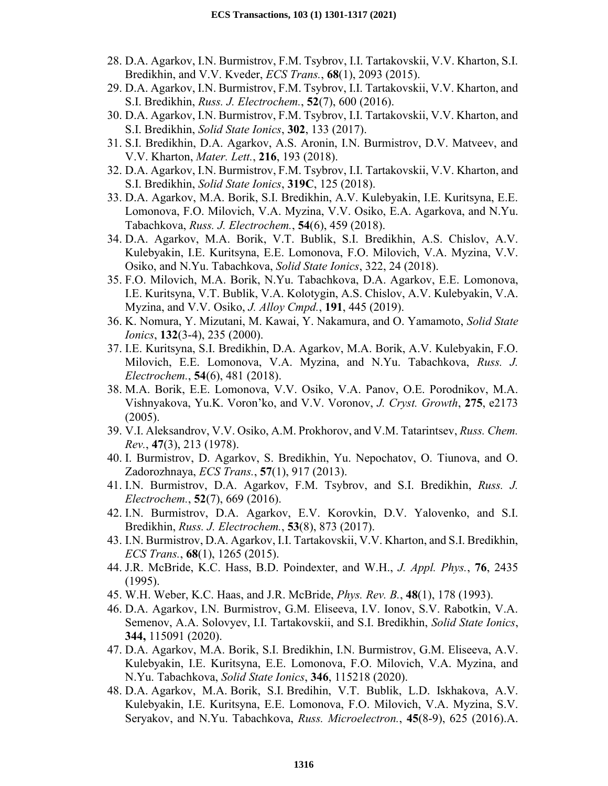- 28. D.A. Agarkov, I.N. Burmistrov, F.M. Tsybrov, I.I. Tartakovskii, V.V. Kharton, S.I. Bredikhin, and V.V. Kveder, *ECS Trans.*, **68**(1), 2093 (2015).
- 29. D.A. Agarkov, I.N. Burmistrov, F.M. Tsybrov, I.I. Tartakovskii, V.V. Kharton, and S.I. Bredikhin, *Russ. J. Electrochem.*, **52**(7), 600 (2016).
- 30. D.A. Agarkov, I.N. Burmistrov, F.M. Tsybrov, I.I. Tartakovskii, V.V. Kharton, and S.I. Bredikhin, *Solid State Ionics*, **302**, 133 (2017).
- 31. S.I. Bredikhin, D.A. Agarkov, A.S. Aronin, I.N. Burmistrov, D.V. Matveev, and V.V. Kharton, *Mater. Lett.*, **216**, 193 (2018).
- 32. D.A. Agarkov, I.N. Burmistrov, F.M. Tsybrov, I.I. Tartakovskii, V.V. Kharton, and S.I. Bredikhin, *Solid State Ionics*, **319C**, 125 (2018).
- 33. D.A. Agarkov, M.A. Borik, S.I. Bredikhin, A.V. Kulebyakin, I.E. Kuritsyna, E.E. Lomonova, F.O. Milovich, V.A. Myzina, V.V. Osiko, E.A. Agarkova, and N.Yu. Tabachkova, *Russ. J. Electrochem.*, **54**(6), 459 (2018).
- 34. D.A. Agarkov, M.A. Borik, V.T. Bublik, S.I. Bredikhin, A.S. Chislov, A.V. Kulebyakin, I.E. Kuritsyna, E.E. Lomonova, F.O. Milovich, V.A. Myzina, V.V. Osiko, and N.Yu. Tabachkova, *Solid State Ionics*, 322, 24 (2018).
- 35. F.O. Milovich, M.A. Borik, N.Yu. Tabachkova, D.A. Agarkov, E.E. Lomonova, I.E. Kuritsyna, V.T. Bublik, V.A. Kolotygin, A.S. Chislov, A.V. Kulebyakin, V.A. Myzina, and V.V. Osiko, *J. Alloy Cmpd.*, **191**, 445 (2019).
- 36. K. Nomura, Y. Mizutani, M. Kawai, Y. Nakamura, and O. Yamamoto, *Solid State Ionics*, **132**(3-4), 235 (2000).
- 37. I.E. Kuritsyna, S.I. Bredikhin, D.A. Agarkov, M.A. Borik, A.V. Kulebyakin, F.O. Milovich, E.E. Lomonova, V.A. Myzina, and N.Yu. Tabachkova, *Russ. J. Electrochem.*, **54**(6), 481 (2018).
- 38. M.A. Borik, E.E. Lomonova, V.V. Osiko, V.A. Panov, O.E. Porodnikov, M.A. Vishnyakova, Yu.K. Voron'ko, and V.V. Voronov, *J. Cryst. Growth*, **275**, e2173 (2005).
- 39. V.I. Aleksandrov, V.V. Osiko, A.M. Prokhorov, and V.M. Tatarintsev, *Russ. Chem. Rev.*, **47**(3), 213 (1978).
- 40. I. Burmistrov, D. Agarkov, S. Bredikhin, Yu. Nepochatov, O. Tiunova, and O. Zadorozhnaya, *ECS Trans.*, **57**(1), 917 (2013).
- 41. I.N. Burmistrov, D.A. Agarkov, F.M. Tsybrov, and S.I. Bredikhin, *Russ. J. Electrochem.*, **52**(7), 669 (2016).
- 42. I.N. Burmistrov, D.A. Agarkov, E.V. Korovkin, D.V. Yalovenko, and S.I. Bredikhin, *Russ. J. Electrochem.*, **53**(8), 873 (2017).
- 43. I.N. Burmistrov, D.A. Agarkov, I.I. Tartakovskii, V.V. Kharton, and S.I. Bredikhin, *ECS Trans.*, **68**(1), 1265 (2015).
- 44. J.R. McBride, K.C. Hass, B.D. Poindexter, and W.H., *J. Appl. Phys.*, **76**, 2435 (1995).
- 45. W.H. Weber, K.C. Haas, and J.R. McBride, *Phys. Rev. B.*, **48**(1), 178 (1993).
- 46. D.A. Agarkov, I.N. Burmistrov, G.M. Eliseeva, I.V. Ionov, S.V. Rabotkin, V.A. Semenov, A.A. Solovyev, I.I. Tartakovskii, and S.I. Bredikhin, *Solid State Ionics*, **344,** 115091 (2020).
- 47. D.A. Agarkov, M.A. Borik, S.I. Bredikhin, I.N. Burmistrov, G.M. Eliseeva, A.V. Kulebyakin, I.E. Kuritsyna, E.E. Lomonova, F.O. Milovich, V.A. Myzina, and N.Yu. Tabachkova, *Solid State Ionics*, **346**, 115218 (2020).
- 48. D.A. Agarkov, M.A. Borik, S.I. Bredihin, V.T. Bublik, L.D. Iskhakova, A.V. Kulebyakin, I.E. Kuritsyna, E.E. Lomonova, F.O. Milovich, V.A. Myzina, S.V. Seryakov, and N.Yu. Tabachkova, *Russ. Microelectron.*, **45**(8-9), 625 (2016).A.